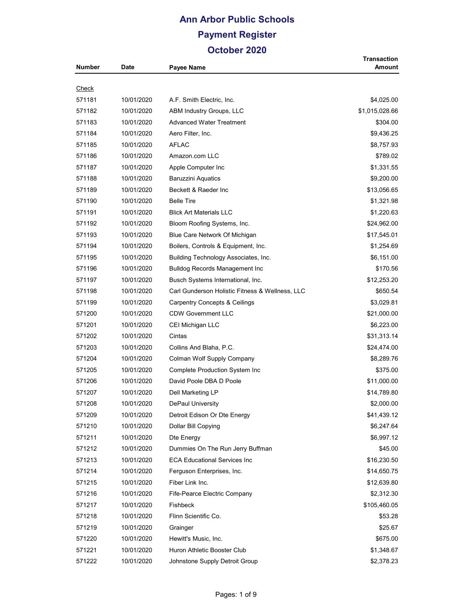## **Ann Arbor Public Schools Payment Register October 2020**

|                  |                          |                                                   | <b>Transaction</b>        |
|------------------|--------------------------|---------------------------------------------------|---------------------------|
| <b>Number</b>    | Date                     | Payee Name                                        | Amount                    |
| <u>Check</u>     |                          |                                                   |                           |
| 571181           | 10/01/2020               | A.F. Smith Electric, Inc.                         | \$4,025.00                |
| 571182           | 10/01/2020               | ABM Industry Groups, LLC                          | \$1,015,028.66            |
| 571183           | 10/01/2020               | <b>Advanced Water Treatment</b>                   | \$304.00                  |
| 571184           | 10/01/2020               | Aero Filter, Inc.                                 | \$9,436.25                |
| 571185           | 10/01/2020               | <b>AFLAC</b>                                      | \$8,757.93                |
| 571186           | 10/01/2020               | Amazon.com LLC                                    | \$789.02                  |
| 571187           | 10/01/2020               | Apple Computer Inc                                | \$1,331.55                |
|                  | 10/01/2020               |                                                   | \$9,200.00                |
| 571188<br>571189 |                          | <b>Baruzzini Aquatics</b><br>Beckett & Raeder Inc |                           |
|                  | 10/01/2020<br>10/01/2020 | <b>Belle Tire</b>                                 | \$13,056.65<br>\$1,321.98 |
| 571190           |                          |                                                   |                           |
| 571191           | 10/01/2020               | <b>Blick Art Materials LLC</b>                    | \$1,220.63                |
| 571192           | 10/01/2020               | Bloom Roofing Systems, Inc.                       | \$24,962.00               |
| 571193           | 10/01/2020               | Blue Care Network Of Michigan                     | \$17,545.01               |
| 571194           | 10/01/2020               | Boilers, Controls & Equipment, Inc.               | \$1,254.69                |
| 571195           | 10/01/2020               | Building Technology Associates, Inc.              | \$6,151.00                |
| 571196           | 10/01/2020               | <b>Bulldog Records Management Inc</b>             | \$170.56                  |
| 571197           | 10/01/2020               | Busch Systems International, Inc.                 | \$12,253.20               |
| 571198           | 10/01/2020               | Carl Gunderson Holistic Fitness & Wellness, LLC   | \$650.54                  |
| 571199           | 10/01/2020               | <b>Carpentry Concepts &amp; Ceilings</b>          | \$3,029.81                |
| 571200           | 10/01/2020               | <b>CDW Government LLC</b>                         | \$21,000.00               |
| 571201           | 10/01/2020               | CEI Michigan LLC                                  | \$6,223.00                |
| 571202           | 10/01/2020               | Cintas                                            | \$31,313.14               |
| 571203           | 10/01/2020               | Collins And Blaha, P.C.                           | \$24,474.00               |
| 571204           | 10/01/2020               | Colman Wolf Supply Company                        | \$8,289.76                |
| 571205           | 10/01/2020               | <b>Complete Production System Inc</b>             | \$375.00                  |
| 571206           | 10/01/2020               | David Poole DBA D Poole                           | \$11,000.00               |
| 571207           | 10/01/2020               | Dell Marketing LP                                 | \$14,789.80               |
| 571208           | 10/01/2020               | DePaul University                                 | \$2,000.00                |
| 571209           | 10/01/2020               | Detroit Edison Or Dte Energy                      | \$41,439.12               |
| 571210           | 10/01/2020               | Dollar Bill Copying                               | \$6,247.64                |
| 571211           | 10/01/2020               | Dte Energy                                        | \$6,997.12                |
| 571212           | 10/01/2020               | Dummies On The Run Jerry Buffman                  | \$45.00                   |
| 571213           | 10/01/2020               | <b>ECA Educational Services Inc.</b>              | \$16,230.50               |
| 571214           | 10/01/2020               | Ferguson Enterprises, Inc.                        | \$14,650.75               |
| 571215           | 10/01/2020               | Fiber Link Inc.                                   | \$12,639.80               |
| 571216           | 10/01/2020               | Fife-Pearce Electric Company                      | \$2,312.30                |
| 571217           | 10/01/2020               | Fishbeck                                          | \$105,460.05              |
| 571218           | 10/01/2020               | Flinn Scientific Co.                              | \$53.28                   |
| 571219           | 10/01/2020               | Grainger                                          | \$25.67                   |
| 571220           | 10/01/2020               | Hewitt's Music, Inc.                              | \$675.00                  |
| 571221           | 10/01/2020               | Huron Athletic Booster Club                       | \$1,348.67                |
| 571222           | 10/01/2020               | Johnstone Supply Detroit Group                    | \$2,378.23                |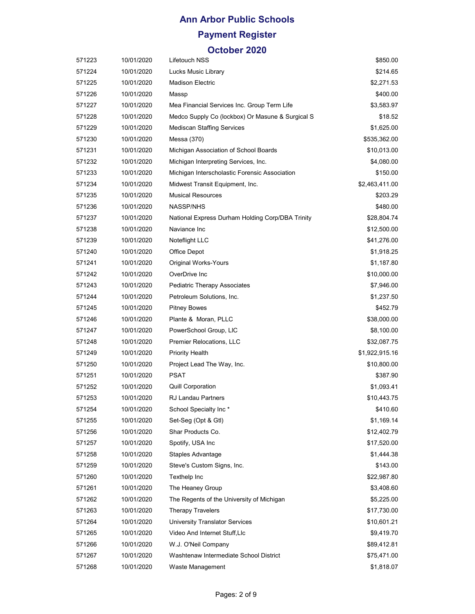# **Ann Arbor Public Schools Payment Register**

| 571223 | 10/01/2020 | Lifetouch NSS                                    | \$850.00       |
|--------|------------|--------------------------------------------------|----------------|
| 571224 | 10/01/2020 | Lucks Music Library                              | \$214.65       |
| 571225 | 10/01/2020 | <b>Madison Electric</b>                          | \$2,271.53     |
| 571226 | 10/01/2020 | Massp                                            | \$400.00       |
| 571227 | 10/01/2020 | Mea Financial Services Inc. Group Term Life      | \$3,583.97     |
| 571228 | 10/01/2020 | Medco Supply Co (lockbox) Or Masune & Surgical S | \$18.52        |
| 571229 | 10/01/2020 | <b>Mediscan Staffing Services</b>                | \$1,625.00     |
| 571230 | 10/01/2020 | Messa (370)                                      | \$535,362.00   |
| 571231 | 10/01/2020 | Michigan Association of School Boards            | \$10,013.00    |
| 571232 | 10/01/2020 | Michigan Interpreting Services, Inc.             | \$4,080.00     |
| 571233 | 10/01/2020 | Michigan Interscholastic Forensic Association    | \$150.00       |
| 571234 | 10/01/2020 | Midwest Transit Equipment, Inc.                  | \$2,463,411.00 |
| 571235 | 10/01/2020 | <b>Musical Resources</b>                         | \$203.29       |
| 571236 | 10/01/2020 | NASSP/NHS                                        | \$480.00       |
| 571237 | 10/01/2020 | National Express Durham Holding Corp/DBA Trinity | \$28,804.74    |
| 571238 | 10/01/2020 | Naviance Inc                                     | \$12,500.00    |
| 571239 | 10/01/2020 | Noteflight LLC                                   | \$41,276.00    |
| 571240 | 10/01/2020 | Office Depot                                     | \$1,918.25     |
| 571241 | 10/01/2020 | Original Works-Yours                             | \$1,187.80     |
| 571242 | 10/01/2020 | OverDrive Inc                                    | \$10,000.00    |
| 571243 | 10/01/2020 | Pediatric Therapy Associates                     | \$7,946.00     |
| 571244 | 10/01/2020 | Petroleum Solutions, Inc.                        | \$1,237.50     |
| 571245 | 10/01/2020 | <b>Pitney Bowes</b>                              | \$452.79       |
| 571246 | 10/01/2020 | Plante & Moran, PLLC                             | \$38,000.00    |
| 571247 | 10/01/2020 | PowerSchool Group, LIC                           | \$8,100.00     |
| 571248 | 10/01/2020 | Premier Relocations, LLC                         | \$32,087.75    |
| 571249 | 10/01/2020 | <b>Priority Health</b>                           | \$1,922,915.16 |
| 571250 | 10/01/2020 | Project Lead The Way, Inc.                       | \$10,800.00    |
| 571251 | 10/01/2020 | PSAT                                             | \$387.90       |
| 571252 | 10/01/2020 | <b>Quill Corporation</b>                         | \$1,093.41     |
| 571253 | 10/01/2020 | <b>RJ Landau Partners</b>                        | \$10,443.75    |
| 571254 | 10/01/2020 | School Specialty Inc*                            | \$410.60       |
| 571255 | 10/01/2020 | Set-Seg (Opt & Gtl)                              | \$1,169.14     |
| 571256 | 10/01/2020 | Shar Products Co.                                | \$12,402.79    |
| 571257 | 10/01/2020 | Spotify, USA Inc.                                | \$17,520.00    |
| 571258 | 10/01/2020 | Staples Advantage                                | \$1,444.38     |
| 571259 | 10/01/2020 | Steve's Custom Signs, Inc.                       | \$143.00       |
| 571260 | 10/01/2020 | Texthelp Inc                                     | \$22,987.80    |
| 571261 | 10/01/2020 | The Heaney Group                                 | \$3,408.60     |
| 571262 | 10/01/2020 | The Regents of the University of Michigan        | \$5,225.00     |
| 571263 | 10/01/2020 | <b>Therapy Travelers</b>                         | \$17,730.00    |
| 571264 | 10/01/2020 | University Translator Services                   | \$10,601.21    |
| 571265 | 10/01/2020 | Video And Internet Stuff, Llc                    | \$9,419.70     |
| 571266 | 10/01/2020 | W.J. O'Neil Company                              | \$89,412.81    |
| 571267 | 10/01/2020 | Washtenaw Intermediate School District           | \$75,471.00    |
| 571268 | 10/01/2020 | Waste Management                                 | \$1,818.07     |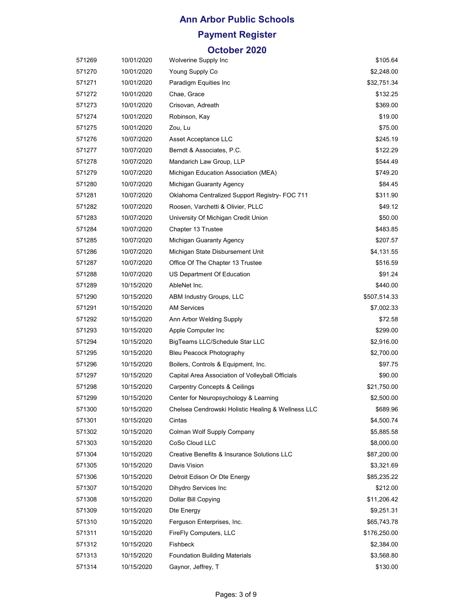## **Ann Arbor Public Schools Payment Register**

| 571269 | 10/01/2020 | Wolverine Supply Inc                               | \$105.64     |
|--------|------------|----------------------------------------------------|--------------|
| 571270 | 10/01/2020 | Young Supply Co                                    | \$2,248.00   |
| 571271 | 10/01/2020 | Paradigm Equities Inc                              | \$32,751.34  |
| 571272 | 10/01/2020 | Chae, Grace                                        | \$132.25     |
| 571273 | 10/01/2020 | Crisovan, Adreath                                  | \$369.00     |
| 571274 | 10/01/2020 | Robinson, Kay                                      | \$19.00      |
| 571275 | 10/01/2020 | Zou, Lu                                            | \$75.00      |
| 571276 | 10/07/2020 | Asset Acceptance LLC                               | \$245.19     |
| 571277 | 10/07/2020 | Berndt & Associates, P.C.                          | \$122.29     |
| 571278 | 10/07/2020 | Mandarich Law Group, LLP                           | \$544.49     |
| 571279 | 10/07/2020 | Michigan Education Association (MEA)               | \$749.20     |
| 571280 | 10/07/2020 | Michigan Guaranty Agency                           | \$84.45      |
| 571281 | 10/07/2020 | Oklahoma Centralized Support Registry- FOC 711     | \$311.90     |
| 571282 | 10/07/2020 | Roosen, Varchetti & Olivier, PLLC                  | \$49.12      |
| 571283 | 10/07/2020 | University Of Michigan Credit Union                | \$50.00      |
| 571284 | 10/07/2020 | Chapter 13 Trustee                                 | \$483.85     |
| 571285 | 10/07/2020 | Michigan Guaranty Agency                           | \$207.57     |
| 571286 | 10/07/2020 | Michigan State Disbursement Unit                   | \$4,131.55   |
| 571287 | 10/07/2020 | Office Of The Chapter 13 Trustee                   | \$516.59     |
| 571288 | 10/07/2020 | US Department Of Education                         | \$91.24      |
| 571289 | 10/15/2020 | AbleNet Inc.                                       | \$440.00     |
| 571290 | 10/15/2020 | ABM Industry Groups, LLC                           | \$507,514.33 |
| 571291 | 10/15/2020 | <b>AM Services</b>                                 | \$7,002.33   |
| 571292 | 10/15/2020 | Ann Arbor Welding Supply                           | \$72.58      |
| 571293 | 10/15/2020 | Apple Computer Inc                                 | \$299.00     |
| 571294 | 10/15/2020 | BigTeams LLC/Schedule Star LLC                     | \$2,916.00   |
| 571295 | 10/15/2020 | Bleu Peacock Photography                           | \$2,700.00   |
| 571296 | 10/15/2020 | Boilers, Controls & Equipment, Inc.                | \$97.75      |
| 571297 | 10/15/2020 | Capital Area Association of Volleyball Officials   | \$90.00      |
| 571298 | 10/15/2020 | <b>Carpentry Concepts &amp; Ceilings</b>           | \$21,750.00  |
| 571299 | 10/15/2020 | Center for Neuropsychology & Learning              | \$2,500.00   |
| 571300 | 10/15/2020 | Chelsea Cendrowski Holistic Healing & Wellness LLC | \$689.96     |
| 571301 | 10/15/2020 | Cintas                                             | \$4,500.74   |
| 571302 | 10/15/2020 | Colman Wolf Supply Company                         | \$5,885.58   |
| 571303 | 10/15/2020 | CoSo Cloud LLC                                     | \$8,000.00   |
| 571304 | 10/15/2020 | Creative Benefits & Insurance Solutions LLC        | \$87,200.00  |
| 571305 | 10/15/2020 | Davis Vision                                       | \$3,321.69   |
| 571306 | 10/15/2020 | Detroit Edison Or Dte Energy                       | \$85,235.22  |
| 571307 | 10/15/2020 | Dihydro Services Inc                               | \$212.00     |
| 571308 | 10/15/2020 | Dollar Bill Copying                                | \$11,206.42  |
| 571309 | 10/15/2020 | Dte Energy                                         | \$9,251.31   |
| 571310 | 10/15/2020 | Ferguson Enterprises, Inc.                         | \$65,743.78  |
| 571311 | 10/15/2020 | FireFly Computers, LLC                             | \$176,250.00 |
| 571312 | 10/15/2020 | Fishbeck                                           | \$2,384.00   |
| 571313 | 10/15/2020 | <b>Foundation Building Materials</b>               | \$3,568.80   |
| 571314 | 10/15/2020 | Gaynor, Jeffrey, T                                 | \$130.00     |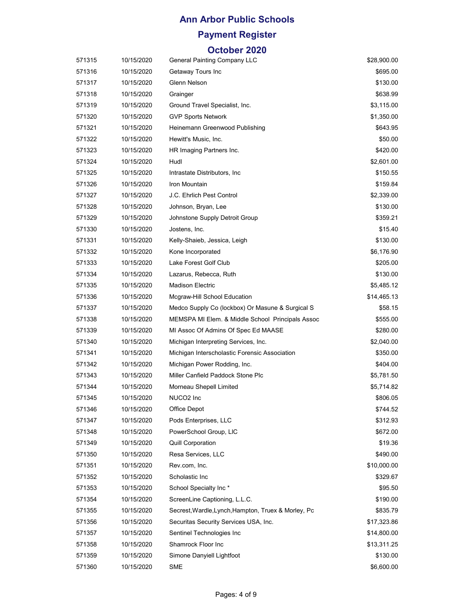## **Payment Register**

| 571315 | 10/15/2020 | General Painting Company LLC                        | \$28,900.00 |
|--------|------------|-----------------------------------------------------|-------------|
| 571316 | 10/15/2020 | Getaway Tours Inc                                   | \$695.00    |
| 571317 | 10/15/2020 | Glenn Nelson                                        | \$130.00    |
| 571318 | 10/15/2020 | Grainger                                            | \$638.99    |
| 571319 | 10/15/2020 | Ground Travel Specialist, Inc.                      | \$3,115.00  |
| 571320 | 10/15/2020 | <b>GVP Sports Network</b>                           | \$1,350.00  |
| 571321 | 10/15/2020 | Heinemann Greenwood Publishing                      | \$643.95    |
| 571322 | 10/15/2020 | Hewitt's Music, Inc.                                | \$50.00     |
| 571323 | 10/15/2020 | HR Imaging Partners Inc.                            | \$420.00    |
| 571324 | 10/15/2020 | Hudl                                                | \$2,601.00  |
| 571325 | 10/15/2020 | Intrastate Distributors, Inc.                       | \$150.55    |
| 571326 | 10/15/2020 | Iron Mountain                                       | \$159.84    |
| 571327 | 10/15/2020 | J.C. Ehrlich Pest Control                           | \$2,339.00  |
| 571328 | 10/15/2020 | Johnson, Bryan, Lee                                 | \$130.00    |
| 571329 | 10/15/2020 | Johnstone Supply Detroit Group                      | \$359.21    |
| 571330 | 10/15/2020 | Jostens, Inc.                                       | \$15.40     |
| 571331 | 10/15/2020 | Kelly-Shaieb, Jessica, Leigh                        | \$130.00    |
| 571332 | 10/15/2020 | Kone Incorporated                                   | \$6,176.90  |
| 571333 | 10/15/2020 | Lake Forest Golf Club                               | \$205.00    |
| 571334 | 10/15/2020 | Lazarus, Rebecca, Ruth                              | \$130.00    |
| 571335 | 10/15/2020 | <b>Madison Electric</b>                             | \$5,485.12  |
| 571336 | 10/15/2020 | Mcgraw-Hill School Education                        | \$14,465.13 |
| 571337 | 10/15/2020 | Medco Supply Co (lockbox) Or Masune & Surgical S    | \$58.15     |
| 571338 | 10/15/2020 | MEMSPA MI Elem. & Middle School Principals Assoc    | \$555.00    |
| 571339 | 10/15/2020 | MI Assoc Of Admins Of Spec Ed MAASE                 | \$280.00    |
| 571340 | 10/15/2020 | Michigan Interpreting Services, Inc.                | \$2,040.00  |
| 571341 | 10/15/2020 | Michigan Interscholastic Forensic Association       | \$350.00    |
| 571342 | 10/15/2020 | Michigan Power Rodding, Inc.                        | \$404.00    |
| 571343 | 10/15/2020 | Miller Canfield Paddock Stone Plc                   | \$5,781.50  |
| 571344 | 10/15/2020 | Morneau Shepell Limited                             | \$5,714.82  |
| 571345 | 10/15/2020 | NUCO <sub>2</sub> Inc                               | \$806.05    |
| 571346 | 10/15/2020 | Office Depot                                        | \$744.52    |
| 571347 | 10/15/2020 | Pods Enterprises, LLC                               | \$312.93    |
| 571348 | 10/15/2020 | PowerSchool Group, LIC                              | \$672.00    |
| 571349 | 10/15/2020 | <b>Quill Corporation</b>                            | \$19.36     |
| 571350 | 10/15/2020 | Resa Services, LLC                                  | \$490.00    |
| 571351 | 10/15/2020 | Rev.com. Inc.                                       | \$10,000.00 |
| 571352 | 10/15/2020 | Scholastic Inc                                      | \$329.67    |
| 571353 | 10/15/2020 | School Specialty Inc*                               | \$95.50     |
| 571354 | 10/15/2020 | ScreenLine Captioning, L.L.C.                       | \$190.00    |
| 571355 | 10/15/2020 | Secrest, Wardle, Lynch, Hampton, Truex & Morley, Pc | \$835.79    |
| 571356 | 10/15/2020 | Securitas Security Services USA, Inc.               | \$17,323.86 |
| 571357 | 10/15/2020 | Sentinel Technologies Inc                           | \$14,800.00 |
| 571358 | 10/15/2020 | Shamrock Floor Inc                                  | \$13,311.25 |
| 571359 | 10/15/2020 | Simone Danyiell Lightfoot                           | \$130.00    |
| 571360 | 10/15/2020 | <b>SME</b>                                          | \$6,600.00  |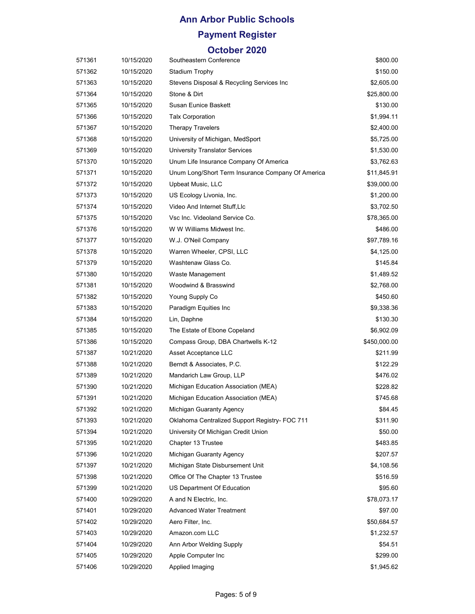## **Payment Register**

| 571361 | 10/15/2020 | Southeastern Conference                           | \$800.00     |
|--------|------------|---------------------------------------------------|--------------|
| 571362 | 10/15/2020 | Stadium Trophy                                    | \$150.00     |
| 571363 | 10/15/2020 | Stevens Disposal & Recycling Services Inc         | \$2,605.00   |
| 571364 | 10/15/2020 | Stone & Dirt                                      | \$25,800.00  |
| 571365 | 10/15/2020 | Susan Eunice Baskett                              | \$130.00     |
| 571366 | 10/15/2020 | <b>Talx Corporation</b>                           | \$1,994.11   |
| 571367 | 10/15/2020 | <b>Therapy Travelers</b>                          | \$2,400.00   |
| 571368 | 10/15/2020 | University of Michigan, MedSport                  | \$5,725.00   |
| 571369 | 10/15/2020 | <b>University Translator Services</b>             | \$1,530.00   |
| 571370 | 10/15/2020 | Unum Life Insurance Company Of America            | \$3,762.63   |
| 571371 | 10/15/2020 | Unum Long/Short Term Insurance Company Of America | \$11,845.91  |
| 571372 | 10/15/2020 | Upbeat Music, LLC                                 | \$39,000.00  |
| 571373 | 10/15/2020 | US Ecology Livonia, Inc.                          | \$1,200.00   |
| 571374 | 10/15/2020 | Video And Internet Stuff, Llc                     | \$3,702.50   |
| 571375 | 10/15/2020 | Vsc Inc. Videoland Service Co.                    | \$78,365.00  |
| 571376 | 10/15/2020 | W W Williams Midwest Inc.                         | \$486.00     |
| 571377 | 10/15/2020 | W.J. O'Neil Company                               | \$97,789.16  |
| 571378 | 10/15/2020 | Warren Wheeler, CPSI, LLC                         | \$4,125.00   |
| 571379 | 10/15/2020 | Washtenaw Glass Co.                               | \$145.84     |
| 571380 | 10/15/2020 | Waste Management                                  | \$1,489.52   |
| 571381 | 10/15/2020 | Woodwind & Brasswind                              | \$2,768.00   |
| 571382 | 10/15/2020 | Young Supply Co                                   | \$450.60     |
| 571383 | 10/15/2020 | Paradigm Equities Inc                             | \$9,338.36   |
| 571384 | 10/15/2020 | Lin, Daphne                                       | \$130.30     |
| 571385 | 10/15/2020 | The Estate of Ebone Copeland                      | \$6,902.09   |
| 571386 | 10/15/2020 | Compass Group, DBA Chartwells K-12                | \$450,000.00 |
| 571387 | 10/21/2020 | Asset Acceptance LLC                              | \$211.99     |
| 571388 | 10/21/2020 | Berndt & Associates, P.C.                         | \$122.29     |
| 571389 | 10/21/2020 | Mandarich Law Group, LLP                          | \$476.02     |
| 571390 | 10/21/2020 | Michigan Education Association (MEA)              | \$228.82     |
| 571391 | 10/21/2020 | Michigan Education Association (MEA)              | \$745.68     |
| 571392 | 10/21/2020 | Michigan Guaranty Agency                          | \$84.45      |
| 571393 | 10/21/2020 | Oklahoma Centralized Support Registry- FOC 711    | \$311.90     |
| 571394 | 10/21/2020 | University Of Michigan Credit Union               | \$50.00      |
| 571395 | 10/21/2020 | Chapter 13 Trustee                                | \$483.85     |
| 571396 | 10/21/2020 | Michigan Guaranty Agency                          | \$207.57     |
| 571397 | 10/21/2020 | Michigan State Disbursement Unit                  | \$4,108.56   |
| 571398 | 10/21/2020 | Office Of The Chapter 13 Trustee                  | \$516.59     |
| 571399 | 10/21/2020 | US Department Of Education                        | \$95.60      |
| 571400 | 10/29/2020 | A and N Electric, Inc.                            | \$78,073.17  |
| 571401 | 10/29/2020 | <b>Advanced Water Treatment</b>                   | \$97.00      |
| 571402 | 10/29/2020 | Aero Filter, Inc.                                 | \$50,684.57  |
| 571403 | 10/29/2020 | Amazon.com LLC                                    | \$1,232.57   |
| 571404 | 10/29/2020 | Ann Arbor Welding Supply                          | \$54.51      |
| 571405 | 10/29/2020 | Apple Computer Inc                                | \$299.00     |
| 571406 | 10/29/2020 | Applied Imaging                                   | \$1,945.62   |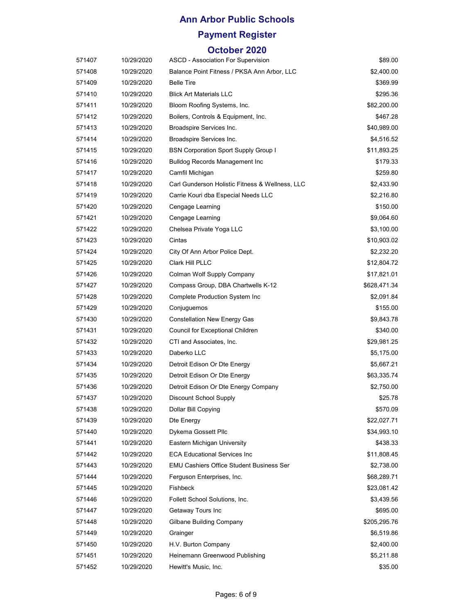## **Payment Register**

| 571407 | 10/29/2020 | ASCD - Association For Supervision              | \$89.00      |
|--------|------------|-------------------------------------------------|--------------|
| 571408 | 10/29/2020 | Balance Point Fitness / PKSA Ann Arbor, LLC     | \$2,400.00   |
| 571409 | 10/29/2020 | <b>Belle Tire</b>                               | \$369.99     |
| 571410 | 10/29/2020 | <b>Blick Art Materials LLC</b>                  | \$295.36     |
| 571411 | 10/29/2020 | Bloom Roofing Systems, Inc.                     | \$82,200.00  |
| 571412 | 10/29/2020 | Boilers, Controls & Equipment, Inc.             | \$467.28     |
| 571413 | 10/29/2020 | Broadspire Services Inc.                        | \$40,989.00  |
| 571414 | 10/29/2020 | Broadspire Services Inc.                        | \$4,516.52   |
| 571415 | 10/29/2020 | <b>BSN Corporation Sport Supply Group I</b>     | \$11,893.25  |
| 571416 | 10/29/2020 | <b>Bulldog Records Management Inc.</b>          | \$179.33     |
| 571417 | 10/29/2020 | Camfil Michigan                                 | \$259.80     |
| 571418 | 10/29/2020 | Carl Gunderson Holistic Fitness & Wellness, LLC | \$2,433.90   |
| 571419 | 10/29/2020 | Carrie Kouri dba Especial Needs LLC             | \$2,216.80   |
| 571420 | 10/29/2020 | Cengage Learning                                | \$150.00     |
| 571421 | 10/29/2020 | Cengage Learning                                | \$9,064.60   |
| 571422 | 10/29/2020 | Chelsea Private Yoga LLC                        | \$3,100.00   |
| 571423 | 10/29/2020 | Cintas                                          | \$10,903.02  |
| 571424 | 10/29/2020 | City Of Ann Arbor Police Dept.                  | \$2,232.20   |
| 571425 | 10/29/2020 | Clark Hill PLLC                                 | \$12,804.72  |
| 571426 | 10/29/2020 | Colman Wolf Supply Company                      | \$17,821.01  |
| 571427 | 10/29/2020 | Compass Group, DBA Chartwells K-12              | \$628,471.34 |
| 571428 | 10/29/2020 | <b>Complete Production System Inc</b>           | \$2,091.84   |
| 571429 | 10/29/2020 | Conjuguemos                                     | \$155.00     |
| 571430 | 10/29/2020 | <b>Constellation New Energy Gas</b>             | \$9,843.78   |
| 571431 | 10/29/2020 | Council for Exceptional Children                | \$340.00     |
| 571432 | 10/29/2020 | CTI and Associates, Inc.                        | \$29,981.25  |
| 571433 | 10/29/2020 | Daberko LLC                                     | \$5,175.00   |
| 571434 | 10/29/2020 | Detroit Edison Or Dte Energy                    | \$5,667.21   |
| 571435 | 10/29/2020 | Detroit Edison Or Dte Energy                    | \$63,335.74  |
| 571436 | 10/29/2020 | Detroit Edison Or Dte Energy Company            | \$2,750.00   |
| 571437 | 10/29/2020 | <b>Discount School Supply</b>                   | \$25.78      |
| 571438 | 10/29/2020 | Dollar Bill Copying                             | \$570.09     |
| 571439 | 10/29/2020 | Dte Energy                                      | \$22,027.71  |
| 571440 | 10/29/2020 | Dykema Gossett Pllc                             | \$34,993.10  |
| 571441 | 10/29/2020 | Eastern Michigan University                     | \$438.33     |
| 571442 | 10/29/2020 | <b>ECA Educational Services Inc.</b>            | \$11,808.45  |
| 571443 | 10/29/2020 | EMU Cashiers Office Student Business Ser        | \$2,738.00   |
| 571444 | 10/29/2020 | Ferguson Enterprises, Inc.                      | \$68,289.71  |
| 571445 | 10/29/2020 | Fishbeck                                        | \$23,081.42  |
| 571446 | 10/29/2020 | Follett School Solutions, Inc.                  | \$3,439.56   |
| 571447 | 10/29/2020 | Getaway Tours Inc                               | \$695.00     |
| 571448 | 10/29/2020 | Gilbane Building Company                        | \$205,295.76 |
| 571449 | 10/29/2020 | Grainger                                        | \$6,519.86   |
| 571450 | 10/29/2020 | H.V. Burton Company                             | \$2,400.00   |
| 571451 | 10/29/2020 | Heinemann Greenwood Publishing                  | \$5,211.88   |
| 571452 | 10/29/2020 | Hewitt's Music, Inc.                            | \$35.00      |
|        |            |                                                 |              |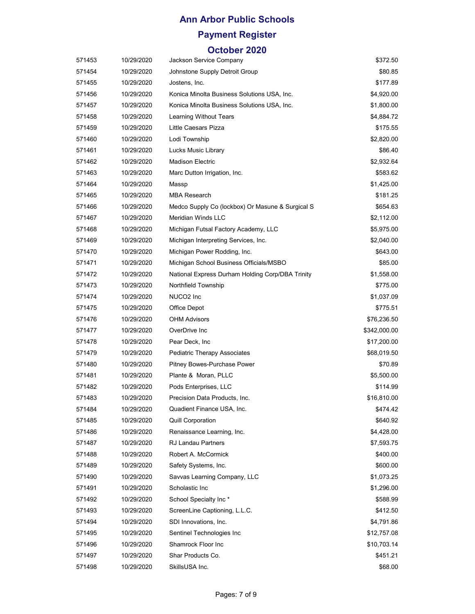## **Payment Register**

| 571453 | 10/29/2020 | Jackson Service Company                          | \$372.50     |
|--------|------------|--------------------------------------------------|--------------|
| 571454 | 10/29/2020 | Johnstone Supply Detroit Group                   | \$80.85      |
| 571455 | 10/29/2020 | Jostens, Inc.                                    | \$177.89     |
| 571456 | 10/29/2020 | Konica Minolta Business Solutions USA, Inc.      | \$4,920.00   |
| 571457 | 10/29/2020 | Konica Minolta Business Solutions USA, Inc.      | \$1,800.00   |
| 571458 | 10/29/2020 | Learning Without Tears                           | \$4,884.72   |
| 571459 | 10/29/2020 | Little Caesars Pizza                             | \$175.55     |
| 571460 | 10/29/2020 | Lodi Township                                    | \$2,820.00   |
| 571461 | 10/29/2020 | Lucks Music Library                              | \$86.40      |
| 571462 | 10/29/2020 | <b>Madison Electric</b>                          | \$2,932.64   |
| 571463 | 10/29/2020 | Marc Dutton Irrigation, Inc.                     | \$583.62     |
| 571464 | 10/29/2020 | Massp                                            | \$1,425.00   |
| 571465 | 10/29/2020 | <b>MBA Research</b>                              | \$181.25     |
| 571466 | 10/29/2020 | Medco Supply Co (lockbox) Or Masune & Surgical S | \$654.63     |
| 571467 | 10/29/2020 | <b>Meridian Winds LLC</b>                        | \$2,112.00   |
| 571468 | 10/29/2020 | Michigan Futsal Factory Academy, LLC             | \$5,975.00   |
| 571469 | 10/29/2020 | Michigan Interpreting Services, Inc.             | \$2,040.00   |
| 571470 | 10/29/2020 | Michigan Power Rodding, Inc.                     | \$643.00     |
| 571471 | 10/29/2020 | Michigan School Business Officials/MSBO          | \$85.00      |
| 571472 | 10/29/2020 | National Express Durham Holding Corp/DBA Trinity | \$1,558.00   |
| 571473 | 10/29/2020 | Northfield Township                              | \$775.00     |
| 571474 | 10/29/2020 | NUCO <sub>2</sub> Inc                            | \$1,037.09   |
| 571475 | 10/29/2020 | Office Depot                                     | \$775.51     |
| 571476 | 10/29/2020 | <b>OHM Advisors</b>                              | \$76,236.50  |
| 571477 | 10/29/2020 | OverDrive Inc                                    | \$342,000.00 |
| 571478 | 10/29/2020 | Pear Deck, Inc.                                  | \$17,200.00  |
| 571479 | 10/29/2020 | Pediatric Therapy Associates                     | \$68,019.50  |
| 571480 | 10/29/2020 | Pitney Bowes-Purchase Power                      | \$70.89      |
| 571481 | 10/29/2020 | Plante & Moran, PLLC                             | \$5,500.00   |
| 571482 | 10/29/2020 | Pods Enterprises, LLC                            | \$114.99     |
| 571483 | 10/29/2020 | Precision Data Products, Inc.                    | \$16,810.00  |
| 571484 | 10/29/2020 | Quadient Finance USA, Inc.                       | \$474.42     |
| 571485 | 10/29/2020 | <b>Quill Corporation</b>                         | \$640.92     |
| 571486 | 10/29/2020 | Renaissance Learning, Inc.                       | \$4,428.00   |
| 571487 | 10/29/2020 | <b>RJ Landau Partners</b>                        | \$7,593.75   |
| 571488 | 10/29/2020 | Robert A. McCormick                              | \$400.00     |
| 571489 | 10/29/2020 | Safety Systems, Inc.                             | \$600.00     |
| 571490 | 10/29/2020 | Savvas Learning Company, LLC                     | \$1,073.25   |
| 571491 | 10/29/2020 | Scholastic Inc                                   | \$1,296.00   |
| 571492 | 10/29/2020 | School Specialty Inc*                            | \$588.99     |
| 571493 | 10/29/2020 | ScreenLine Captioning, L.L.C.                    | \$412.50     |
| 571494 | 10/29/2020 | SDI Innovations, Inc.                            | \$4,791.86   |
| 571495 | 10/29/2020 | Sentinel Technologies Inc                        | \$12,757.08  |
| 571496 | 10/29/2020 | Shamrock Floor Inc                               | \$10,703.14  |
| 571497 | 10/29/2020 | Shar Products Co.                                | \$451.21     |
| 571498 | 10/29/2020 | SkillsUSA Inc.                                   | \$68.00      |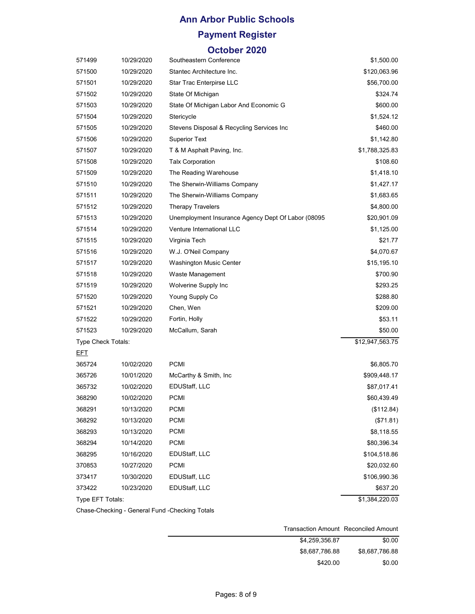### **Payment Register**

#### **October 2020**

| 571499             | 10/29/2020 | Southeastern Conference                            | \$1,500.00      |
|--------------------|------------|----------------------------------------------------|-----------------|
| 571500             | 10/29/2020 | Stantec Architecture Inc.                          | \$120,063.96    |
| 571501             | 10/29/2020 | Star Trac Enterpirse LLC                           | \$56,700.00     |
| 571502             | 10/29/2020 | State Of Michigan                                  | \$324.74        |
| 571503             | 10/29/2020 | State Of Michigan Labor And Economic G             | \$600.00        |
| 571504             | 10/29/2020 | Stericycle                                         | \$1,524.12      |
| 571505             | 10/29/2020 | Stevens Disposal & Recycling Services Inc          | \$460.00        |
| 571506             | 10/29/2020 | <b>Superior Text</b>                               | \$1,142.80      |
| 571507             | 10/29/2020 | T & M Asphalt Paving, Inc.                         | \$1,788,325.83  |
| 571508             | 10/29/2020 | <b>Talx Corporation</b>                            | \$108.60        |
| 571509             | 10/29/2020 | The Reading Warehouse                              | \$1,418.10      |
| 571510             | 10/29/2020 | The Sherwin-Williams Company                       | \$1,427.17      |
| 571511             | 10/29/2020 | The Sherwin-Williams Company                       | \$1,683.65      |
| 571512             | 10/29/2020 | <b>Therapy Travelers</b>                           | \$4,800.00      |
| 571513             | 10/29/2020 | Unemployment Insurance Agency Dept Of Labor (08095 | \$20,901.09     |
| 571514             | 10/29/2020 | Venture International LLC                          | \$1,125.00      |
| 571515             | 10/29/2020 | Virginia Tech                                      | \$21.77         |
| 571516             | 10/29/2020 | W.J. O'Neil Company                                | \$4,070.67      |
| 571517             | 10/29/2020 | <b>Washington Music Center</b>                     | \$15,195.10     |
| 571518             | 10/29/2020 | Waste Management                                   | \$700.90        |
| 571519             | 10/29/2020 | Wolverine Supply Inc                               | \$293.25        |
| 571520             | 10/29/2020 | Young Supply Co                                    | \$288.80        |
| 571521             | 10/29/2020 | Chen, Wen                                          | \$209.00        |
| 571522             | 10/29/2020 | Fortin, Holly                                      | \$53.11         |
| 571523             | 10/29/2020 | McCallum, Sarah                                    | \$50.00         |
| Type Check Totals: |            |                                                    | \$12,947,563.75 |
| <u>EFT</u>         |            |                                                    |                 |
| 365724             | 10/02/2020 | <b>PCMI</b>                                        | \$6,805.70      |
| 365726             | 10/01/2020 | McCarthy & Smith, Inc.                             | \$909,448.17    |
| 365732             | 10/02/2020 | EDUStaff, LLC                                      | \$87,017.41     |
| 368290             | 10/02/2020 | <b>PCMI</b>                                        | \$60,439.49     |
| 368291             | 10/13/2020 | <b>PCMI</b>                                        | (\$112.84)      |
| 368292             | 10/13/2020 | <b>PCMI</b>                                        | (\$71.81)       |
| 368293             | 10/13/2020 | <b>PCMI</b>                                        | \$8,118.55      |
| 368294             | 10/14/2020 | <b>PCMI</b>                                        | \$80,396.34     |
| 368295             | 10/16/2020 | EDUStaff, LLC                                      | \$104,518.86    |
| 370853             | 10/27/2020 | <b>PCMI</b>                                        | \$20,032.60     |
| 373417             | 10/30/2020 | EDUStaff, LLC                                      | \$106,990.36    |
| 373422             | 10/23/2020 | EDUStaff, LLC                                      | \$637.20        |
| Type EFT Totals:   |            |                                                    | \$1,384,220.03  |
|                    |            | Conoral Eund, Chooking Totals                      |                 |

Chase-Checking - General Fund -Checking Totals

| Transaction Amount Reconciled Amount |                |
|--------------------------------------|----------------|
| \$0.00                               | \$4.259.356.87 |
| \$8,687,786.88                       | \$8.687.786.88 |
| \$0.00                               | \$420.00       |